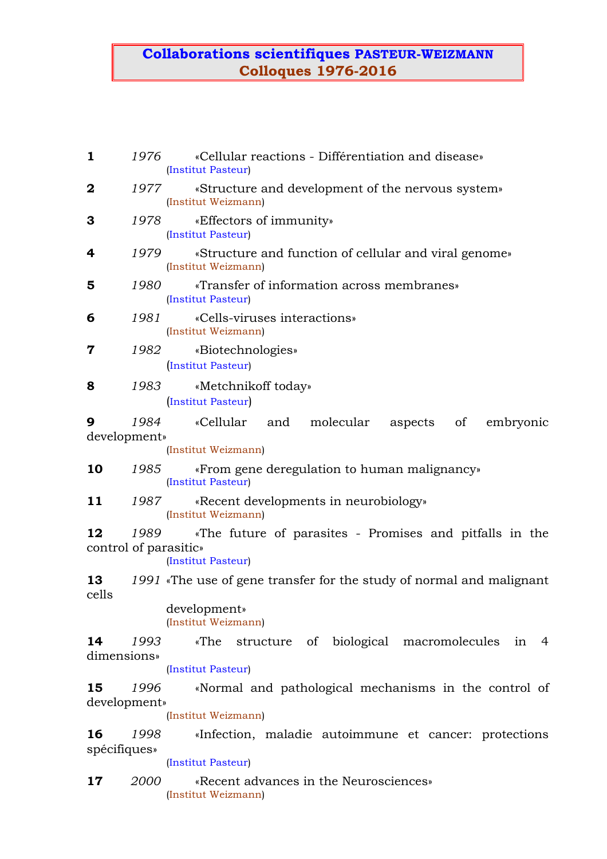## **Collaborations scientifiques PASTEUR-WEIZMANN Colloques 1976-2016**

| 1                  | 1976                 | «Cellular reactions - Différentiation and disease»<br>(Institut Pasteur)                              |
|--------------------|----------------------|-------------------------------------------------------------------------------------------------------|
| 2                  | 1977                 | «Structure and development of the nervous system»<br>(Institut Weizmann)                              |
| 3                  | 1978                 | «Effectors of immunity»<br>(Institut Pasteur)                                                         |
| 4                  | 1979                 | «Structure and function of cellular and viral genome»<br>(Institut Weizmann)                          |
| 5                  | 1980                 | «Transfer of information across membranes»<br>(Institut Pasteur)                                      |
| 6                  | 1981                 | «Cells-viruses interactions»<br>(Institut Weizmann)                                                   |
| 7                  | 1982                 | «Biotechnologies»<br>Institut Pasteur)                                                                |
| 8                  | 1983                 | «Metchnikoff today»<br>Institut Pasteur                                                               |
| 9                  | 1984<br>development» | «Cellular and<br>molecular<br>aspects of<br>embryonic<br>(Institut Weizmann)                          |
| 10                 | 1985                 | «From gene deregulation to human malignancy»<br>(Institut Pasteur)                                    |
| 11                 | 1987 —               | «Recent developments in neurobiology»<br>(Institut Weizmann)                                          |
| 12                 | 1989                 | The future of parasites - Promises and pitfalls in the<br>control of parasitic»<br>(Institut Pasteur) |
| 13<br>cells        |                      | 1991 «The use of gene transfer for the study of normal and malignant                                  |
|                    |                      | development»<br>(Institut Weizmann)                                                                   |
| 14<br>dimensions»  | 1993                 | «The<br>structure of biological macromolecules<br>in<br>$-4$<br>(Institut Pasteur)                    |
| 15                 | 1996                 | «Normal and pathological mechanisms in the control of                                                 |
|                    | development»         |                                                                                                       |
|                    |                      | (Institut Weizmann)                                                                                   |
| 16<br>spécifiques» | 1998                 | «Infection, maladie autoimmune et cancer: protections                                                 |
|                    |                      | (Institut Pasteur)                                                                                    |
| 17                 | <i>2000</i>          | «Recent advances in the Neurosciences»<br>(Institut Weizmann)                                         |